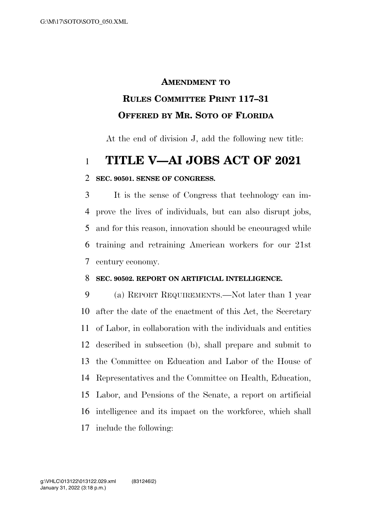# **AMENDMENT TO RULES COMMITTEE PRINT 117–31 OFFERED BY MR. SOTO OF FLORIDA**

At the end of division J, add the following new title:

## **TITLE V—AI JOBS ACT OF 2021**

### **SEC. 90501. SENSE OF CONGRESS.**

 It is the sense of Congress that technology can im- prove the lives of individuals, but can also disrupt jobs, and for this reason, innovation should be encouraged while training and retraining American workers for our 21st century economy.

#### **SEC. 90502. REPORT ON ARTIFICIAL INTELLIGENCE.**

 (a) REPORT REQUIREMENTS.—Not later than 1 year after the date of the enactment of this Act, the Secretary of Labor, in collaboration with the individuals and entities described in subsection (b), shall prepare and submit to the Committee on Education and Labor of the House of Representatives and the Committee on Health, Education, Labor, and Pensions of the Senate, a report on artificial intelligence and its impact on the workforce, which shall include the following: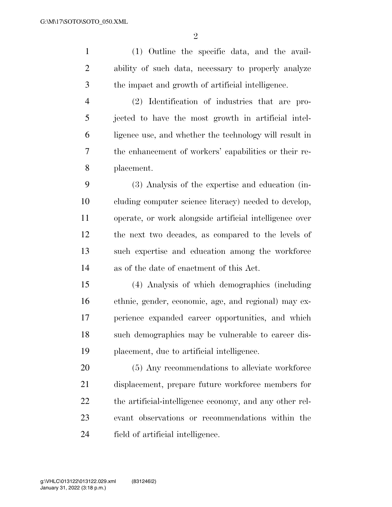$\mathfrak{D}$ 

 (1) Outline the specific data, and the avail- ability of such data, necessary to properly analyze the impact and growth of artificial intelligence. (2) Identification of industries that are pro-jected to have the most growth in artificial intel-

 ligence use, and whether the technology will result in the enhancement of workers' capabilities or their re-placement.

 (3) Analysis of the expertise and education (in- cluding computer science literacy) needed to develop, operate, or work alongside artificial intelligence over the next two decades, as compared to the levels of such expertise and education among the workforce as of the date of enactment of this Act.

 (4) Analysis of which demographics (including ethnic, gender, economic, age, and regional) may ex- perience expanded career opportunities, and which such demographics may be vulnerable to career dis-placement, due to artificial intelligence.

 (5) Any recommendations to alleviate workforce displacement, prepare future workforce members for the artificial-intelligence economy, and any other rel- evant observations or recommendations within the field of artificial intelligence.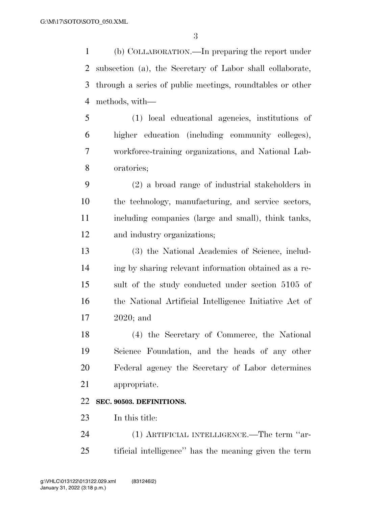(b) COLLABORATION.—In preparing the report under subsection (a), the Secretary of Labor shall collaborate, through a series of public meetings, roundtables or other methods, with—

 (1) local educational agencies, institutions of higher education (including community colleges), workforce-training organizations, and National Lab-oratories;

 (2) a broad range of industrial stakeholders in the technology, manufacturing, and service sectors, including companies (large and small), think tanks, and industry organizations;

 (3) the National Academies of Science, includ- ing by sharing relevant information obtained as a re- sult of the study conducted under section 5105 of the National Artificial Intelligence Initiative Act of 2020; and

 (4) the Secretary of Commerce, the National Science Foundation, and the heads of any other Federal agency the Secretary of Labor determines appropriate.

### **SEC. 90503. DEFINITIONS.**

In this title:

 (1) ARTIFICIAL INTELLIGENCE.—The term ''ar-tificial intelligence'' has the meaning given the term